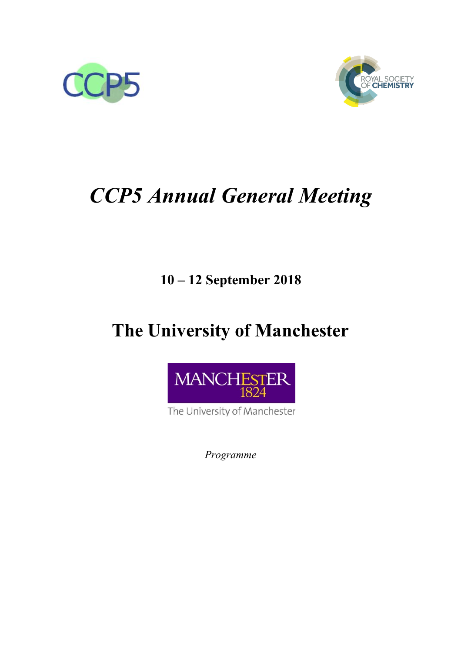



# *CCP5 Annual General Meeting*

### **10 – 12 September 2018**

## **The University of Manchester**



The University of Manchester

*Programme*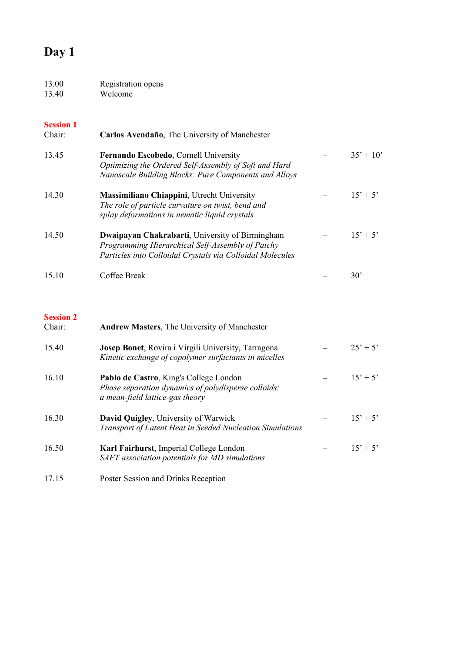### **Day 1**

| 13.00 | Registration opens |
|-------|--------------------|
| 13.40 | Welcome            |

### **Session 1**<br>Chair:

| Carlos Avendaño, The University of Manchester                                                                                                                    |             |
|------------------------------------------------------------------------------------------------------------------------------------------------------------------|-------------|
| Fernando Escobedo, Cornell University<br>Optimizing the Ordered Self-Assembly of Soft and Hard<br>Nanoscale Building Blocks: Pure Components and Alloys          | $35' + 10'$ |
| Massimiliano Chiappini, Utrecht University<br>The role of particle curvature on twist, bend and<br>splay deformations in nematic liquid crystals                 | $15' + 5'$  |
| Dwaipayan Chakrabarti, University of Birmingham<br>Programming Hierarchical Self-Assembly of Patchy<br>Particles into Colloidal Crystals via Colloidal Molecules | $15' + 5'$  |
| Coffee Break                                                                                                                                                     | 30'         |
|                                                                                                                                                                  |             |

#### **Session 2**

| Chair: | <b>Andrew Masters, The University of Manchester</b>                                                                              |            |
|--------|----------------------------------------------------------------------------------------------------------------------------------|------------|
| 15.40  | <b>Josep Bonet, Rovira i Virgili University, Tarragona</b><br>Kinetic exchange of copolymer surfactants in micelles              | $25' + 5'$ |
| 16.10  | Pablo de Castro, King's College London<br>Phase separation dynamics of polydisperse colloids:<br>a mean-field lattice-gas theory | $15' + 5'$ |
| 16.30  | <b>David Quigley, University of Warwick</b><br>Transport of Latent Heat in Seeded Nucleation Simulations                         | $15' + 5'$ |
| 16.50  | Karl Fairhurst, Imperial College London<br>SAFT association potentials for MD simulations                                        | $15' + 5'$ |

17.15 Poster Session and Drinks Reception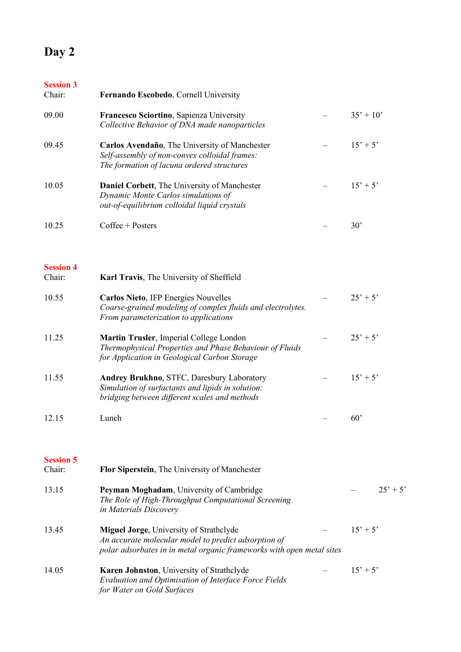#### **Day 2**

### **Session 3**<br>Chair: Fernando Escobedo, Cornell University 09.00 **Francesco Sciortino**, Sapienza University – 35' + 10' *Collective Behavior of DNA made nanoparticles* 09.45 **Carlos Avendaño**, The University of Manchester – 15' + 5' *Self-assembly of non-convex colloidal frames: The formation of lacuna ordered structures* 10.05 **Daniel Corbett**, The University of Manchester – 15' + 5' *Dynamic Monte Carlos simulations of out-of-equilibrium colloidal liquid crystals* 10.25 Coffee + Posters – 30'

#### **Session 4**

| Chair:                     | <b>Karl Travis, The University of Sheffield</b>                                                                                                         |              |
|----------------------------|---------------------------------------------------------------------------------------------------------------------------------------------------------|--------------|
| 10.55                      | <b>Carlos Nieto, IFP Energies Nouvelles</b><br>Coarse-grained modeling of complex fluids and electrolytes.<br>From parameterization to applications     | $25' + 5'$   |
| 11.25                      | Martin Trusler, Imperial College London<br>Thermophysical Properties and Phase Behaviour of Fluids<br>for Application in Geological Carbon Storage      | $25' + 5'$   |
| 11.55                      | <b>Andrey Brukhno, STFC, Daresbury Laboratory</b><br>Simulation of surfactants and lipids in solution:<br>bridging between different scales and methods | $15' + 5'$   |
| 12.15                      | Lunch                                                                                                                                                   | $60^{\circ}$ |
| <b>Session 5</b><br>Chair: | Flor Siperstein, The University of Manchester                                                                                                           |              |
| 12.15                      | Dorman Maghadam Huiyargity of Cambridge                                                                                                                 | つぐ?          |

| 13.15 | Peyman Moghadam, University of Cambridge<br>The Role of High-Throughput Computational Screening<br>in Materials Discovery                                                       | $25' + 5'$ |
|-------|---------------------------------------------------------------------------------------------------------------------------------------------------------------------------------|------------|
| 13.45 | <b>Miguel Jorge, University of Strathclyde</b><br>An accurate molecular model to predict adsorption of<br>polar adsorbates in in metal organic frameworks with open metal sites | $15' + 5'$ |
| 14.05 | Karen Johnston, University of Strathclyde<br>Evaluation and Optimisation of Interface Force Fields<br>for Water on Gold Surfaces                                                | $15' + 5'$ |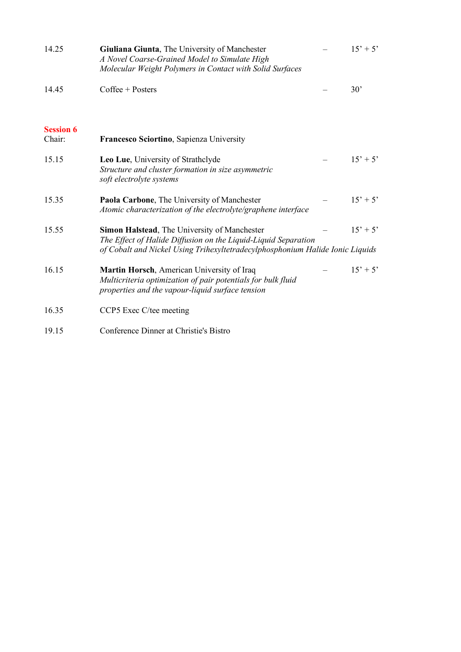| 14.25                      | Giuliana Giunta, The University of Manchester<br>A Novel Coarse-Grained Model to Simulate High<br>Molecular Weight Polymers in Contact with Solid Surfaces                                      | $15' + 5'$ |
|----------------------------|-------------------------------------------------------------------------------------------------------------------------------------------------------------------------------------------------|------------|
| 14.45                      | $Coffee + PostgreSQL$                                                                                                                                                                           | 30'        |
| <b>Session 6</b><br>Chair: | Francesco Sciortino, Sapienza University                                                                                                                                                        |            |
| 15.15                      | Leo Lue, University of Strathclyde<br>Structure and cluster formation in size asymmetric<br>soft electrolyte systems                                                                            | $15' + 5'$ |
| 15.35                      | Paola Carbone, The University of Manchester<br>Atomic characterization of the electrolyte/graphene interface                                                                                    | $15' + 5'$ |
| 15.55                      | Simon Halstead, The University of Manchester<br>The Effect of Halide Diffusion on the Liquid-Liquid Separation<br>of Cobalt and Nickel Using Trihexyltetradecylphosphonium Halide Ionic Liquids | $15' + 5'$ |
| 16.15                      | Martin Horsch, American University of Iraq<br>Multicriteria optimization of pair potentials for bulk fluid<br>properties and the vapour-liquid surface tension                                  | $15' + 5'$ |
| 16.35                      | CCP5 Exec C/tee meeting                                                                                                                                                                         |            |

#### 19.15 Conference Dinner at Christie's Bistro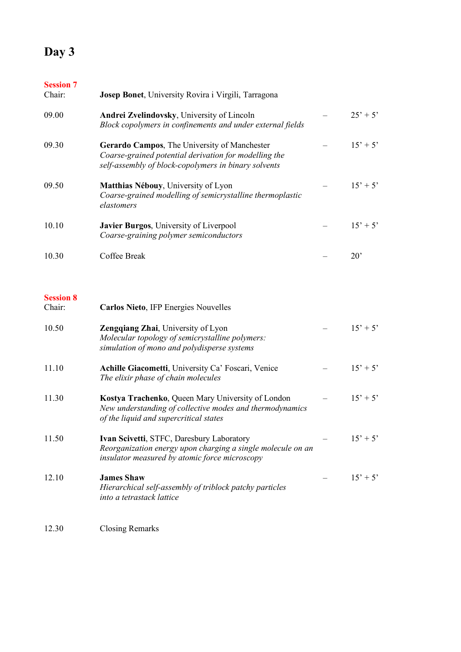### **Day 3**

| <b>Session 7</b><br>Chair: | Josep Bonet, University Rovira i Virgili, Tarragona                                                                                                           |              |
|----------------------------|---------------------------------------------------------------------------------------------------------------------------------------------------------------|--------------|
| 09.00                      | Andrei Zvelindovsky, University of Lincoln<br>Block copolymers in confinements and under external fields                                                      | $25' + 5'$   |
| 09.30                      | Gerardo Campos, The University of Manchester<br>Coarse-grained potential derivation for modelling the<br>self-assembly of block-copolymers in binary solvents | $15' + 5'$   |
| 09.50                      | Matthias Nébouy, University of Lyon<br>Coarse-grained modelling of semicrystalline thermoplastic<br>elastomers                                                | $15' + 5'$   |
| 10.10                      | Javier Burgos, University of Liverpool<br>Coarse-graining polymer semiconductors                                                                              | $15' + 5'$   |
| 10.30                      | Coffee Break                                                                                                                                                  | $20^{\circ}$ |
| <b>Session 8</b><br>Chair: | Carlos Nieto, IFP Energies Nouvelles                                                                                                                          |              |
| 10.50                      | Zengqiang Zhai, University of Lyon<br>Molecular topology of semicrystalline polymers:<br>simulation of mono and polydisperse systems                          | $15' + 5'$   |
| 11.10                      | Achille Giacometti, University Ca' Foscari, Venice<br>The elixir phase of chain molecules                                                                     | $15' + 5'$   |
| 11.30                      | Kostya Trachenko, Queen Mary University of London<br>New understanding of collective modes and thermodynamics<br>of the liquid and supercritical states       | $15' + 5'$   |
| 11.50                      | Ivan Scivetti, STFC, Daresbury Laboratory<br>Reorganization energy upon charging a single molecule on an<br>insulator measured by atomic force microscopy     | $15' + 5'$   |
| 12.10                      | <b>James Shaw</b><br>Hierarchical self-assembly of triblock patchy particles<br>into a tetrastack lattice                                                     | $15' + 5'$   |
|                            |                                                                                                                                                               |              |

12.30 Closing Remarks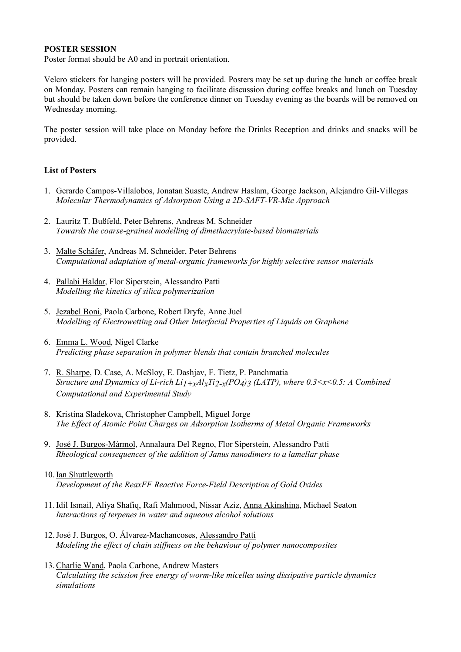#### **POSTER SESSION**

Poster format should be A0 and in portrait orientation.

Velcro stickers for hanging posters will be provided. Posters may be set up during the lunch or coffee break on Monday. Posters can remain hanging to facilitate discussion during coffee breaks and lunch on Tuesday but should be taken down before the conference dinner on Tuesday evening as the boards will be removed on Wednesday morning.

The poster session will take place on Monday before the Drinks Reception and drinks and snacks will be provided.

#### **List of Posters**

- 1. Gerardo Campos-Villalobos, Jonatan Suaste, Andrew Haslam, George Jackson, Alejandro Gil-Villegas *Molecular Thermodynamics of Adsorption Using a 2D-SAFT-VR-Mie Approach*
- 2. Lauritz T. Bußfeld, Peter Behrens, Andreas M. Schneider *Towards the coarse-grained modelling of dimethacrylate-based biomaterials*
- 3. Malte Schäfer, Andreas M. Schneider, Peter Behrens *Computational adaptation of metal-organic frameworks for highly selective sensor materials*
- 4. Pallabi Haldar, Flor Siperstein, Alessandro Patti *Modelling the kinetics of silica polymerization*
- 5. Jezabel Boni, Paola Carbone, Robert Dryfe, Anne Juel *Modelling of Electrowetting and Other Interfacial Properties of Liquids on Graphene*
- 6. Emma L. Wood, Nigel Clarke *Predicting phase separation in polymer blends that contain branched molecules*
- 7. R. Sharpe, D. Case, A. McSloy, E. Dashjav, F. Tietz, P. Panchmatia *Structure and Dynamics of Li-rich Li1+xAlxTi2-x(PO4)3 (LATP), where 0.3<x<0.5: A Combined Computational and Experimental Study*
- 8. Kristina Sladekova, Christopher Campbell, Miguel Jorge *The Effect of Atomic Point Charges on Adsorption Isotherms of Metal Organic Frameworks*
- 9. José J. Burgos-Mármol, Annalaura Del Regno, Flor Siperstein, Alessandro Patti *Rheological consequences of the addition of Janus nanodimers to a lamellar phase*
- 10.Ian Shuttleworth *Development of the ReaxFF Reactive Force-Field Description of Gold Oxides*
- 11.Idil Ismail, Aliya Shafiq, Rafi Mahmood, Nissar Aziz, Anna Akinshina, Michael Seaton *Interactions of terpenes in water and aqueous alcohol solutions*
- 12.José J. Burgos, O. Álvarez-Machancoses, Alessandro Patti *Modeling the effect of chain stiffness on the behaviour of polymer nanocomposites*
- 13.Charlie Wand, Paola Carbone, Andrew Masters *Calculating the scission free energy of worm-like micelles using dissipative particle dynamics simulations*